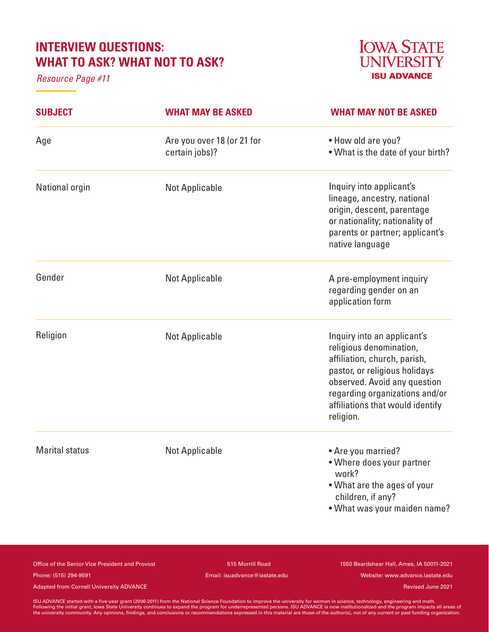# **INTERVIEW QUESTIONS: WHAT TO ASK? WHAT NOT TO ASK?**

*Resource Page #11*



| <b>SUBJECT</b>        | <b>WHAT MAY BE ASKED</b>                     | <b>WHAT MAY NOT BE ASKED</b>                                                                                                                                                                                                               |
|-----------------------|----------------------------------------------|--------------------------------------------------------------------------------------------------------------------------------------------------------------------------------------------------------------------------------------------|
| Age                   | Are you over 18 (or 21 for<br>certain jobs)? | • How old are you?<br>. What is the date of your birth?                                                                                                                                                                                    |
| National orgin        | <b>Not Applicable</b>                        | Inquiry into applicant's<br>lineage, ancestry, national<br>origin, descent, parentage<br>or nationality; nationality of<br>parents or partner; applicant's<br>native language                                                              |
| Gender                | <b>Not Applicable</b>                        | A pre-employment inquiry<br>regarding gender on an<br>application form                                                                                                                                                                     |
| Religion              | <b>Not Applicable</b>                        | Inquiry into an applicant's<br>religious denomination,<br>affiliation, church, parish,<br>pastor, or religious holidays<br>observed. Avoid any question<br>regarding organizations and/or<br>affiliations that would identify<br>religion. |
| <b>Marital status</b> | <b>Not Applicable</b>                        | • Are you married?<br>• Where does your partner<br>work?<br>• What are the ages of your<br>children, if any?<br>. What was your maiden name?                                                                                               |

Office of the Senior Vice President and Provost 515 Morrill Road 1550 Beardshear Hall, Ames, IA 50011-2021

Phone: (515) 294-9591 Email: isuadvance@iastate.edu Website: www.advance.iastate.edu

Adapted from Cornell University ADVANCE and the cornell of the cornell of the cornell University ADVANCE and the cornell of the cornell University ADVANCE and the cornell of the cornell of the cornell of the cornell of the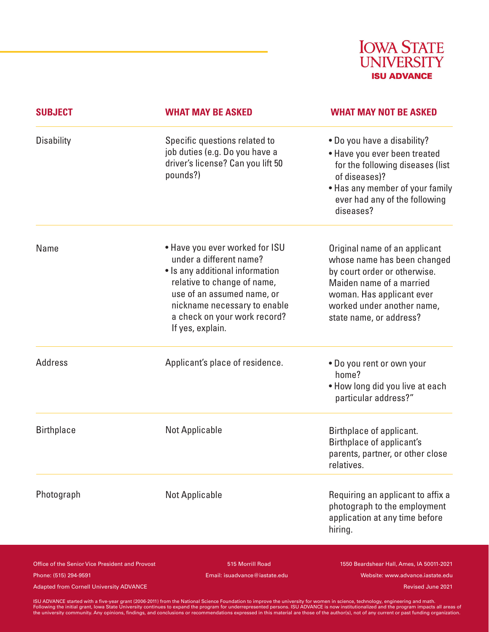

| <b>SUBJECT</b>    | <b>WHAT MAY BE ASKED</b>                                                                                                                                                                                                                      | <b>WHAT MAY NOT BE ASKED</b>                                                                                                                                                                                   |
|-------------------|-----------------------------------------------------------------------------------------------------------------------------------------------------------------------------------------------------------------------------------------------|----------------------------------------------------------------------------------------------------------------------------------------------------------------------------------------------------------------|
| <b>Disability</b> | Specific questions related to<br>job duties (e.g. Do you have a<br>driver's license? Can you lift 50<br>pounds?)                                                                                                                              | • Do you have a disability?<br>• Have you ever been treated<br>for the following diseases (list<br>of diseases)?<br>• Has any member of your family<br>ever had any of the following<br>diseases?              |
| Name              | • Have you ever worked for ISU<br>under a different name?<br>• Is any additional information<br>relative to change of name,<br>use of an assumed name, or<br>nickname necessary to enable<br>a check on your work record?<br>If yes, explain. | Original name of an applicant<br>whose name has been changed<br>by court order or otherwise.<br>Maiden name of a married<br>woman. Has applicant ever<br>worked under another name,<br>state name, or address? |
| <b>Address</b>    | Applicant's place of residence.                                                                                                                                                                                                               | . Do you rent or own your<br>home?<br>. How long did you live at each<br>particular address?"                                                                                                                  |
| <b>Birthplace</b> | <b>Not Applicable</b>                                                                                                                                                                                                                         | Birthplace of applicant.<br>Birthplace of applicant's<br>parents, partner, or other close<br>relatives.                                                                                                        |
| Photograph        | <b>Not Applicable</b>                                                                                                                                                                                                                         | Requiring an applicant to affix a<br>photograph to the employment<br>application at any time before<br>hiring.                                                                                                 |

Office of the Senior Vice President and Provost 515 Morrill Road 1550 Beardshear Hall, Ames, IA 50011-2021 Phone: (515) 294-9591 Email: isuadvance@iastate.edu Website: www.advance.iastate.edu

Adapted from Cornell University ADVANCE and the cornell of the cornell of the cornell University ADVANCE and the cornell of the cornell University ADVANCE and the cornell of the cornell of the cornell of the cornell of the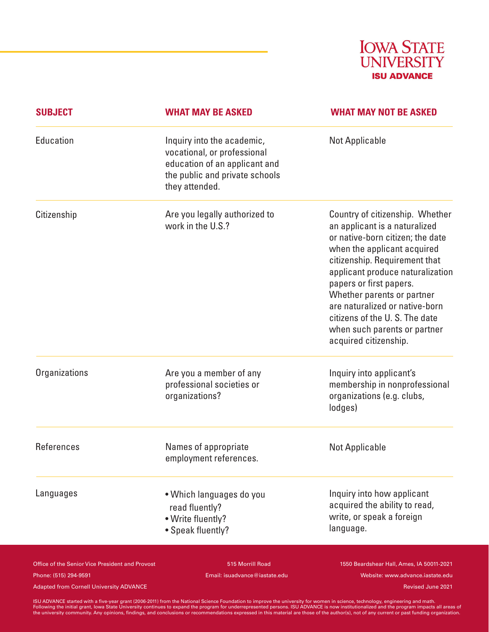

| <b>SUBJECT</b> | <b>WHAT MAY BE ASKED</b>                                                                                                                       | <b>WHAT MAY NOT BE ASKED</b>                                                                                                                                                                                                                                                                                                                                                                  |
|----------------|------------------------------------------------------------------------------------------------------------------------------------------------|-----------------------------------------------------------------------------------------------------------------------------------------------------------------------------------------------------------------------------------------------------------------------------------------------------------------------------------------------------------------------------------------------|
| Education      | Inquiry into the academic,<br>vocational, or professional<br>education of an applicant and<br>the public and private schools<br>they attended. | <b>Not Applicable</b>                                                                                                                                                                                                                                                                                                                                                                         |
| Citizenship    | Are you legally authorized to<br>work in the U.S.?                                                                                             | Country of citizenship. Whether<br>an applicant is a naturalized<br>or native-born citizen; the date<br>when the applicant acquired<br>citizenship. Requirement that<br>applicant produce naturalization<br>papers or first papers.<br>Whether parents or partner<br>are naturalized or native-born<br>citizens of the U.S. The date<br>when such parents or partner<br>acquired citizenship. |
| Organizations  | Are you a member of any<br>professional societies or<br>organizations?                                                                         | Inquiry into applicant's<br>membership in nonprofessional<br>organizations (e.g. clubs,<br>lodges)                                                                                                                                                                                                                                                                                            |
| References     | Names of appropriate<br>employment references.                                                                                                 | <b>Not Applicable</b>                                                                                                                                                                                                                                                                                                                                                                         |
| Languages      | • Which languages do you<br>read fluently?<br>· Write fluently?<br>• Speak fluently?                                                           | Inquiry into how applicant<br>acquired the ability to read,<br>write, or speak a foreign<br>language.                                                                                                                                                                                                                                                                                         |

Phone: (515) 294-9591 Email: isuadvance@iastate.edu Website: www.advance.iastate.edu

Office of the Senior Vice President and Provost 515 Morrill Road 1550 Beardshear Hall, Ames, IA 50011-2021

Adapted from Cornell University ADVANCE and the cornell of the cornell of the cornell University ADVANCE and the cornell of the cornell University ADVANCE and the cornell of the cornell of the cornell of the cornell of the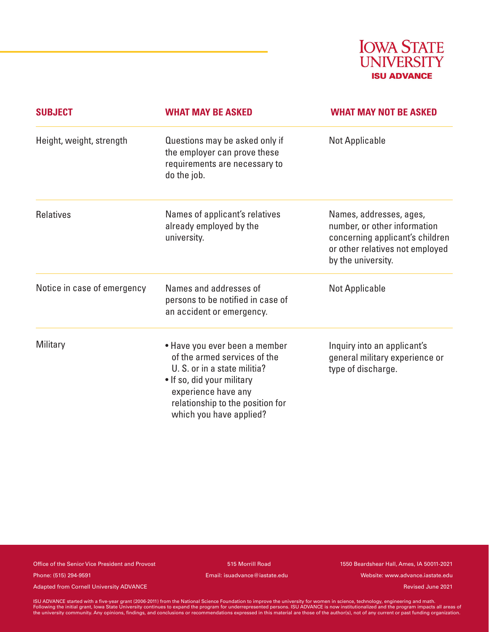

| <b>SUBJECT</b>              | <b>WHAT MAY BE ASKED</b>                                                                                                                                                                                          | <b>WHAT MAY NOT BE ASKED</b>                                                                                                                        |
|-----------------------------|-------------------------------------------------------------------------------------------------------------------------------------------------------------------------------------------------------------------|-----------------------------------------------------------------------------------------------------------------------------------------------------|
| Height, weight, strength    | Questions may be asked only if<br>the employer can prove these<br>requirements are necessary to<br>do the job.                                                                                                    | <b>Not Applicable</b>                                                                                                                               |
| <b>Relatives</b>            | Names of applicant's relatives<br>already employed by the<br>university.                                                                                                                                          | Names, addresses, ages,<br>number, or other information<br>concerning applicant's children<br>or other relatives not employed<br>by the university. |
| Notice in case of emergency | Names and addresses of<br>persons to be notified in case of<br>an accident or emergency.                                                                                                                          | Not Applicable                                                                                                                                      |
| Military                    | • Have you ever been a member<br>of the armed services of the<br>U. S. or in a state militia?<br>• If so, did your military<br>experience have any<br>relationship to the position for<br>which you have applied? | Inquiry into an applicant's<br>general military experience or<br>type of discharge.                                                                 |

Office of the Senior Vice President and Provost 515 Morrill Road 1550 Beardshear Hall, Ames, IA 50011-2021 Phone: (515) 294-9591 Email: isuadvance@iastate.edu Website: www.advance.iastate.edu

Adapted from Cornell University ADVANCE and the cornell of the cornell of the cornell University ADVANCE and the cornell of the cornell University ADVANCE and the cornell of the cornell of the cornell of the cornell of the